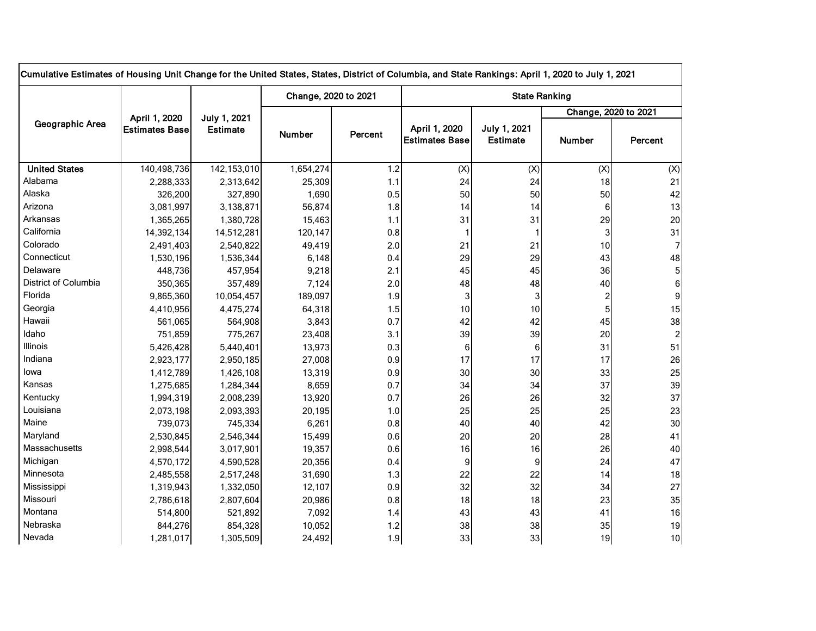| Cumulative Estimates of Housing Unit Change for the United States, States, District of Columbia, and State Rankings: April 1, 2020 to July 1, 2021 |                                        |                                 |                      |         |                                        |                                 |                         |                |  |  |  |
|----------------------------------------------------------------------------------------------------------------------------------------------------|----------------------------------------|---------------------------------|----------------------|---------|----------------------------------------|---------------------------------|-------------------------|----------------|--|--|--|
| Geographic Area                                                                                                                                    | April 1, 2020<br><b>Estimates Base</b> | July 1, 2021<br><b>Estimate</b> | Change, 2020 to 2021 |         | <b>State Ranking</b>                   |                                 |                         |                |  |  |  |
|                                                                                                                                                    |                                        |                                 |                      |         |                                        |                                 | Change, 2020 to 2021    |                |  |  |  |
|                                                                                                                                                    |                                        |                                 | <b>Number</b>        | Percent | April 1, 2020<br><b>Estimates Base</b> | July 1, 2021<br><b>Estimate</b> | <b>Number</b>           | Percent        |  |  |  |
| <b>United States</b>                                                                                                                               | 140,498,736                            | 142,153,010                     | 1,654,274            | 1.2     | (X)                                    | (X)                             | (X)                     | (X)            |  |  |  |
| Alabama                                                                                                                                            | 2,288,333                              | 2,313,642                       | 25,309               | 1.1     | 24                                     | 24                              | 18                      | 21             |  |  |  |
| Alaska                                                                                                                                             | 326,200                                | 327,890                         | 1,690                | 0.5     | 50                                     | 50                              | 50                      | 42             |  |  |  |
| Arizona                                                                                                                                            | 3,081,997                              | 3,138,871                       | 56,874               | 1.8     | 14                                     | 14                              | 6                       | 13             |  |  |  |
| Arkansas                                                                                                                                           | 1,365,265                              | 1,380,728                       | 15,463               | 1.1     | 31                                     | 31                              | 29                      | 20             |  |  |  |
| California                                                                                                                                         | 14,392,134                             | 14,512,281                      | 120,147              | 0.8     |                                        |                                 | 3                       | 31             |  |  |  |
| Colorado                                                                                                                                           | 2,491,403                              | 2,540,822                       | 49,419               | 2.0     | 21                                     | 21                              | 10                      | 71             |  |  |  |
| Connecticut                                                                                                                                        | 1,530,196                              | 1,536,344                       | 6,148                | 0.4     | 29                                     | 29                              | 43                      | 48             |  |  |  |
| Delaware                                                                                                                                           | 448,736                                | 457,954                         | 9,218                | 2.1     | 45                                     | 45                              | 36                      | $5\vert$       |  |  |  |
| District of Columbia                                                                                                                               | 350,365                                | 357,489                         | 7,124                | 2.0     | 48                                     | 48                              | 40                      | 6              |  |  |  |
| Florida                                                                                                                                            | 9,865,360                              | 10,054,457                      | 189,097              | 1.9     | 3                                      | 3                               | $\overline{\mathbf{c}}$ | 9              |  |  |  |
| Georgia                                                                                                                                            | 4,410,956                              | 4,475,274                       | 64,318               | 1.5     | 10                                     | 10                              | 5                       | 15             |  |  |  |
| Hawaii                                                                                                                                             | 561,065                                | 564,908                         | 3,843                | 0.7     | 42                                     | 42                              | 45                      | 38             |  |  |  |
| Idaho                                                                                                                                              | 751,859                                | 775,267                         | 23,408               | 3.1     | 39                                     | 39                              | 20                      | $\overline{a}$ |  |  |  |
| Illinois                                                                                                                                           | 5,426,428                              | 5,440,401                       | 13,973               | 0.3     | 6                                      | 6                               | 31                      | 51             |  |  |  |
| Indiana                                                                                                                                            | 2,923,177                              | 2,950,185                       | 27,008               | 0.9     | 17                                     | 17                              | 17                      | 26             |  |  |  |
| lowa                                                                                                                                               | 1,412,789                              | 1,426,108                       | 13,319               | 0.9     | 30 <sub>1</sub>                        | 30                              | 33                      | 25             |  |  |  |
| Kansas                                                                                                                                             | 1,275,685                              | 1,284,344                       | 8,659                | 0.7     | 34                                     | 34                              | 37                      | 39             |  |  |  |
| Kentucky                                                                                                                                           | 1,994,319                              | 2,008,239                       | 13,920               | 0.7     | 26                                     | 26                              | 32                      | 37             |  |  |  |
| Louisiana                                                                                                                                          | 2,073,198                              | 2,093,393                       | 20,195               | 1.0     | 25                                     | 25                              | 25                      | 23             |  |  |  |
| Maine                                                                                                                                              | 739,073                                | 745,334                         | 6,261                | 0.8     | 40                                     | 40                              | 42                      | 30             |  |  |  |
| Maryland                                                                                                                                           | 2,530,845                              | 2,546,344                       | 15,499               | 0.6     | 20                                     | 20                              | 28                      | 41             |  |  |  |
| Massachusetts                                                                                                                                      | 2,998,544                              | 3,017,901                       | 19,357               | 0.6     | 16                                     | 16                              | 26                      | 40             |  |  |  |
| Michigan                                                                                                                                           | 4,570,172                              | 4,590,528                       | 20,356               | 0.4     | $\overline{9}$                         | 9                               | 24                      | 47             |  |  |  |
| Minnesota                                                                                                                                          | 2,485,558                              | 2,517,248                       | 31,690               | 1.3     | 22                                     | 22                              | 14                      | 18             |  |  |  |
| Mississippi                                                                                                                                        | 1,319,943                              | 1,332,050                       | 12,107               | 0.9     | 32                                     | 32                              | 34                      | 27             |  |  |  |
| Missouri                                                                                                                                           | 2,786,618                              | 2,807,604                       | 20,986               | 0.8     | 18                                     | 18                              | 23                      | 35             |  |  |  |
| Montana                                                                                                                                            | 514,800                                | 521,892                         | 7,092                | 1.4     | 43                                     | 43                              | 41                      | 16             |  |  |  |
| Nebraska                                                                                                                                           | 844,276                                | 854,328                         | 10,052               | 1.2     | 38                                     | 38                              | 35                      | 19             |  |  |  |
| Nevada                                                                                                                                             | 1,281,017                              | 1,305,509                       | 24,492               | 1.9     | 33                                     | 33                              | 19                      | 10             |  |  |  |